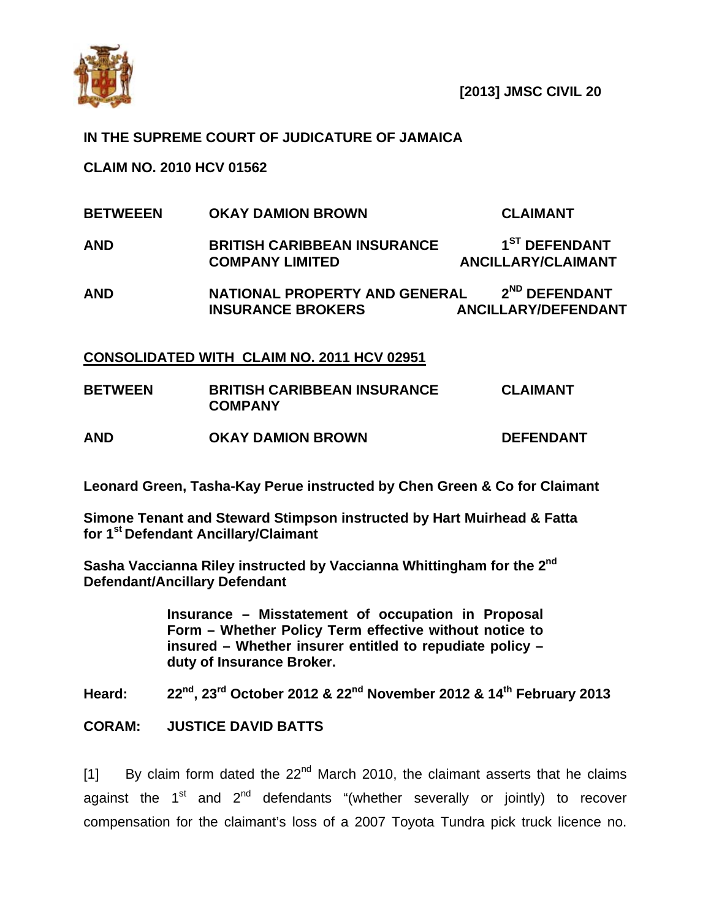

## **IN THE SUPREME COURT OF JUDICATURE OF JAMAICA**

**CLAIM NO. 2010 HCV 01562** 

- **BETWEEEN OKAY DAMION BROWN CLAIMANT**
- AND **BRITISH CARIBBEAN INSURANCE** 1<sup>ST</sup> DEFENDANT **COMPANY LIMITED ANCILLARY/CLAIMANT**
- AND **NATIONAL PROPERTY AND GENERAL**  $2^{ND}$  DEFENDANT  **INSURANCE BROKERS ANCILLARY/DEFENDANT**

## **CONSOLIDATED WITH CLAIM NO. 2011 HCV 02951**

| <b>BETWEEN</b> | <b>BRITISH CARIBBEAN INSURANCE</b><br><b>COMPANY</b> | <b>CLAIMANT</b>  |
|----------------|------------------------------------------------------|------------------|
| <b>AND</b>     | <b>OKAY DAMION BROWN</b>                             | <b>DEFENDANT</b> |

**Leonard Green, Tasha-Kay Perue instructed by Chen Green & Co for Claimant** 

**Simone Tenant and Steward Stimpson instructed by Hart Muirhead & Fatta for 1st Defendant Ancillary/Claimant** 

**Sasha Vaccianna Riley instructed by Vaccianna Whittingham for the 2nd Defendant/Ancillary Defendant** 

> **Insurance – Misstatement of occupation in Proposal Form – Whether Policy Term effective without notice to insured – Whether insurer entitled to repudiate policy – duty of Insurance Broker.**

**Heard: 22nd, 23rd October 2012 & 22nd November 2012 & 14th February 2013** 

## **CORAM: JUSTICE DAVID BATTS**

 $[1]$  By claim form dated the 22<sup>nd</sup> March 2010, the claimant asserts that he claims against the  $1^{st}$  and  $2^{nd}$  defendants "(whether severally or jointly) to recover compensation for the claimant's loss of a 2007 Toyota Tundra pick truck licence no.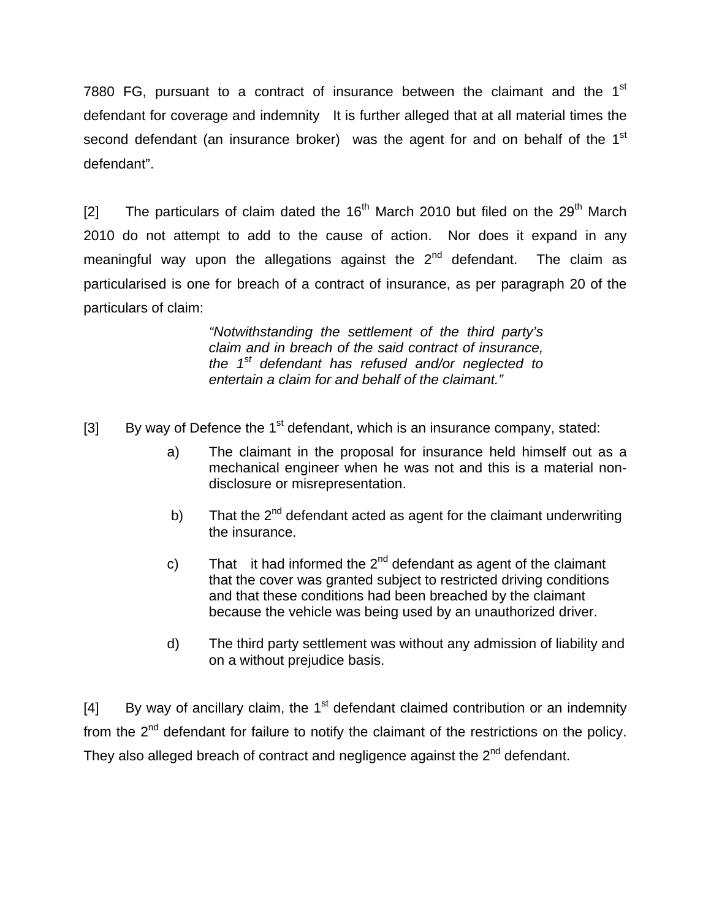7880 FG, pursuant to a contract of insurance between the claimant and the 1<sup>st</sup> defendant for coverage and indemnity It is further alleged that at all material times the second defendant (an insurance broker) was the agent for and on behalf of the 1<sup>st</sup> defendant".

[2] The particulars of claim dated the  $16<sup>th</sup>$  March 2010 but filed on the 29<sup>th</sup> March 2010 do not attempt to add to the cause of action. Nor does it expand in any meaningful way upon the allegations against the  $2<sup>nd</sup>$  defendant. The claim as particularised is one for breach of a contract of insurance, as per paragraph 20 of the particulars of claim:

> *"Notwithstanding the settlement of the third party's claim and in breach of the said contract of insurance, the 1st defendant has refused and/or neglected to entertain a claim for and behalf of the claimant."*

- [3] By way of Defence the  $1<sup>st</sup>$  defendant, which is an insurance company, stated:
	- a) The claimant in the proposal for insurance held himself out as a mechanical engineer when he was not and this is a material nondisclosure or misrepresentation.
	- b) That the  $2^{nd}$  defendant acted as agent for the claimant underwriting the insurance.
	- c) That it had informed the  $2^{nd}$  defendant as agent of the claimant that the cover was granted subject to restricted driving conditions and that these conditions had been breached by the claimant because the vehicle was being used by an unauthorized driver.
	- d) The third party settlement was without any admission of liability and on a without prejudice basis.

[4] By way of ancillary claim, the  $1<sup>st</sup>$  defendant claimed contribution or an indemnity from the  $2^{nd}$  defendant for failure to notify the claimant of the restrictions on the policy. They also alleged breach of contract and negligence against the  $2<sup>nd</sup>$  defendant.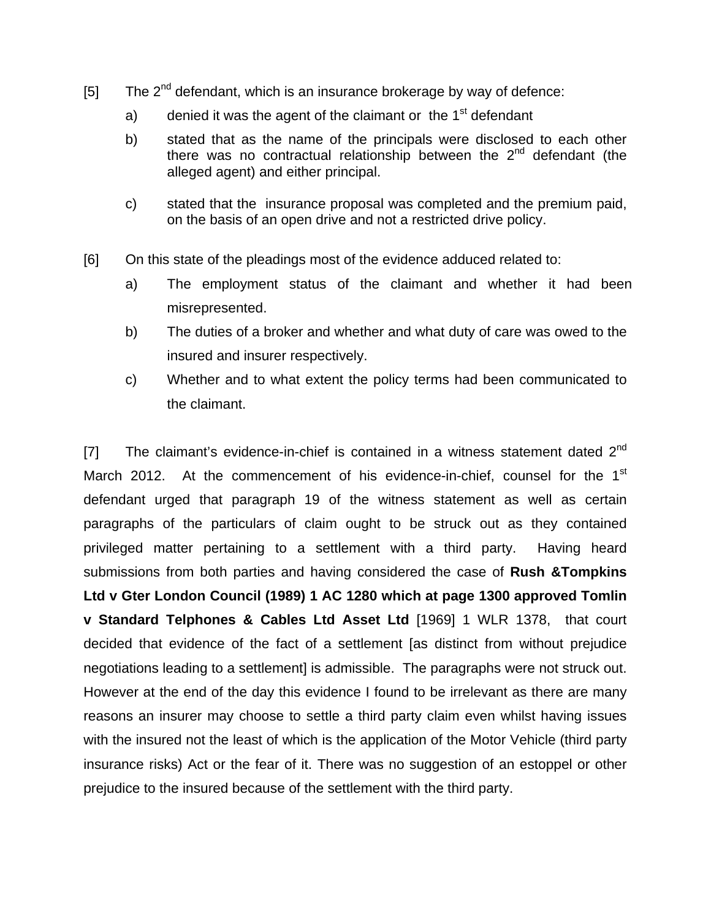- $[5]$  The  $2<sup>nd</sup>$  defendant, which is an insurance brokerage by way of defence:
	- a) denied it was the agent of the claimant or the  $1<sup>st</sup>$  defendant
	- b) stated that as the name of the principals were disclosed to each other there was no contractual relationship between the  $2<sup>nd</sup>$  defendant (the alleged agent) and either principal.
	- c) stated that the insurance proposal was completed and the premium paid, on the basis of an open drive and not a restricted drive policy.
- [6] On this state of the pleadings most of the evidence adduced related to:
	- a) The employment status of the claimant and whether it had been misrepresented.
	- b) The duties of a broker and whether and what duty of care was owed to the insured and insurer respectively.
	- c) Whether and to what extent the policy terms had been communicated to the claimant.

[7] The claimant's evidence-in-chief is contained in a witness statement dated  $2^{nd}$ March 2012. At the commencement of his evidence-in-chief, counsel for the  $1<sup>st</sup>$ defendant urged that paragraph 19 of the witness statement as well as certain paragraphs of the particulars of claim ought to be struck out as they contained privileged matter pertaining to a settlement with a third party. Having heard submissions from both parties and having considered the case of **Rush &Tompkins Ltd v Gter London Council (1989) 1 AC 1280 which at page 1300 approved Tomlin v Standard Telphones & Cables Ltd Asset Ltd** [1969] 1 WLR 1378, that court decided that evidence of the fact of a settlement [as distinct from without prejudice negotiations leading to a settlement] is admissible. The paragraphs were not struck out. However at the end of the day this evidence I found to be irrelevant as there are many reasons an insurer may choose to settle a third party claim even whilst having issues with the insured not the least of which is the application of the Motor Vehicle (third party insurance risks) Act or the fear of it. There was no suggestion of an estoppel or other prejudice to the insured because of the settlement with the third party.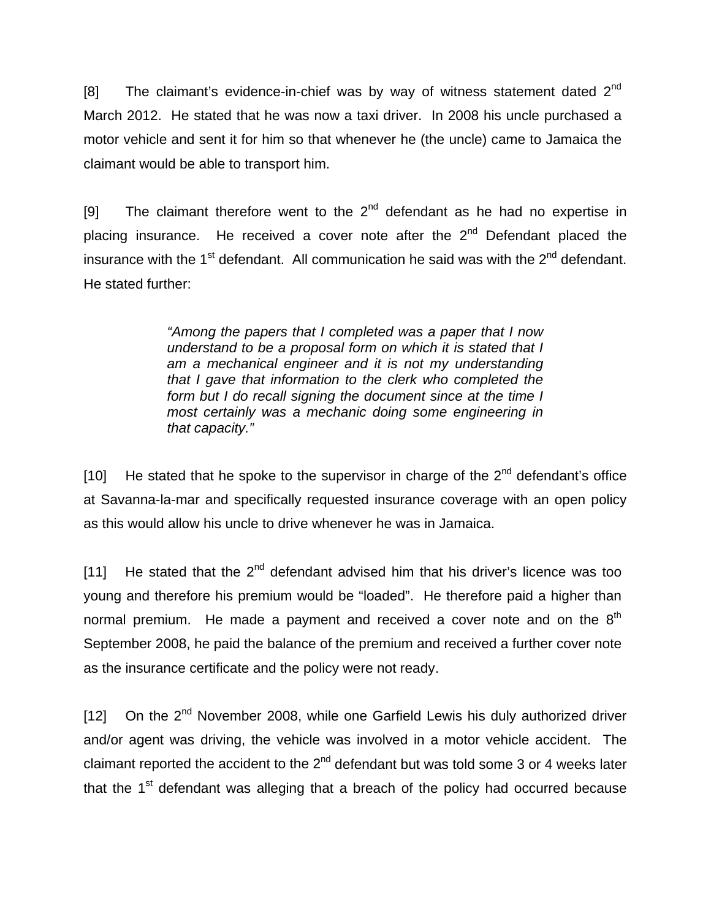[8] The claimant's evidence-in-chief was by way of witness statement dated  $2^{nd}$ March 2012. He stated that he was now a taxi driver. In 2008 his uncle purchased a motor vehicle and sent it for him so that whenever he (the uncle) came to Jamaica the claimant would be able to transport him.

[9] The claimant therefore went to the  $2^{nd}$  defendant as he had no expertise in placing insurance. He received a cover note after the  $2<sup>nd</sup>$  Defendant placed the insurance with the  $1<sup>st</sup>$  defendant. All communication he said was with the  $2<sup>nd</sup>$  defendant. He stated further:

> *"Among the papers that I completed was a paper that I now understand to be a proposal form on which it is stated that I am a mechanical engineer and it is not my understanding that I gave that information to the clerk who completed the form but I do recall signing the document since at the time I most certainly was a mechanic doing some engineering in that capacity."*

[10] He stated that he spoke to the supervisor in charge of the  $2<sup>nd</sup>$  defendant's office at Savanna-la-mar and specifically requested insurance coverage with an open policy as this would allow his uncle to drive whenever he was in Jamaica.

[11] He stated that the  $2^{nd}$  defendant advised him that his driver's licence was too young and therefore his premium would be "loaded". He therefore paid a higher than normal premium. He made a payment and received a cover note and on the  $8<sup>th</sup>$ September 2008, he paid the balance of the premium and received a further cover note as the insurance certificate and the policy were not ready.

[12] On the  $2<sup>nd</sup>$  November 2008, while one Garfield Lewis his duly authorized driver and/or agent was driving, the vehicle was involved in a motor vehicle accident. The claimant reported the accident to the  $2<sup>nd</sup>$  defendant but was told some 3 or 4 weeks later that the  $1<sup>st</sup>$  defendant was alleging that a breach of the policy had occurred because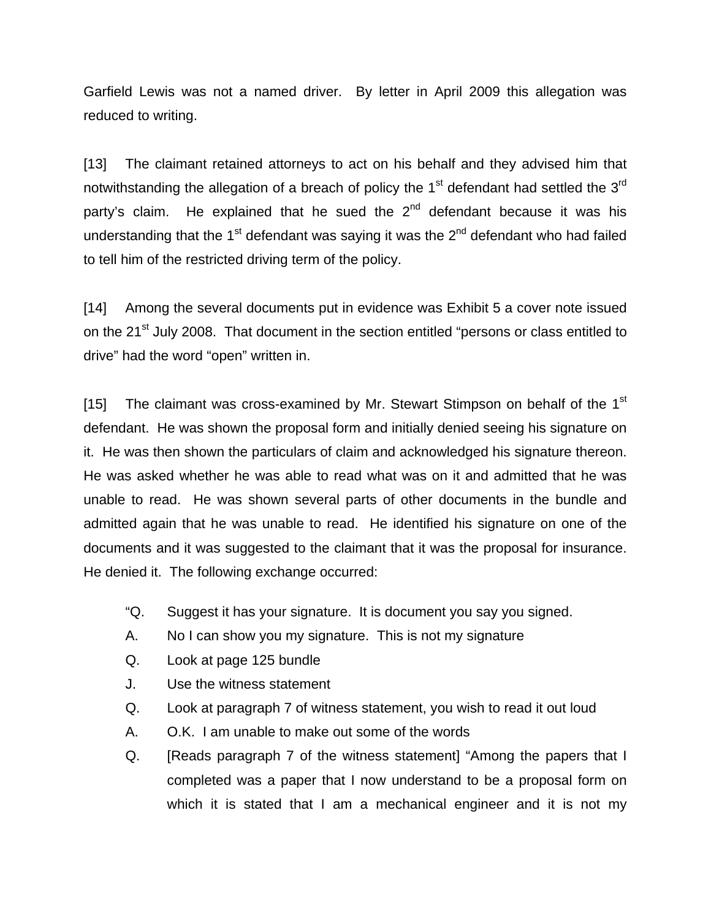Garfield Lewis was not a named driver. By letter in April 2009 this allegation was reduced to writing.

[13] The claimant retained attorneys to act on his behalf and they advised him that notwithstanding the allegation of a breach of policy the  $1<sup>st</sup>$  defendant had settled the  $3<sup>rd</sup>$ party's claim. He explained that he sued the  $2<sup>nd</sup>$  defendant because it was his understanding that the  $1<sup>st</sup>$  defendant was saying it was the  $2<sup>nd</sup>$  defendant who had failed to tell him of the restricted driving term of the policy.

[14] Among the several documents put in evidence was Exhibit 5 a cover note issued on the 21<sup>st</sup> July 2008. That document in the section entitled "persons or class entitled to drive" had the word "open" written in.

[15] The claimant was cross-examined by Mr. Stewart Stimpson on behalf of the 1<sup>st</sup> defendant. He was shown the proposal form and initially denied seeing his signature on it. He was then shown the particulars of claim and acknowledged his signature thereon. He was asked whether he was able to read what was on it and admitted that he was unable to read. He was shown several parts of other documents in the bundle and admitted again that he was unable to read. He identified his signature on one of the documents and it was suggested to the claimant that it was the proposal for insurance. He denied it. The following exchange occurred:

- "Q. Suggest it has your signature. It is document you say you signed.
- A. No I can show you my signature. This is not my signature
- Q. Look at page 125 bundle
- J. Use the witness statement
- Q. Look at paragraph 7 of witness statement, you wish to read it out loud
- A. O.K. I am unable to make out some of the words
- Q. [Reads paragraph 7 of the witness statement] "Among the papers that I completed was a paper that I now understand to be a proposal form on which it is stated that I am a mechanical engineer and it is not my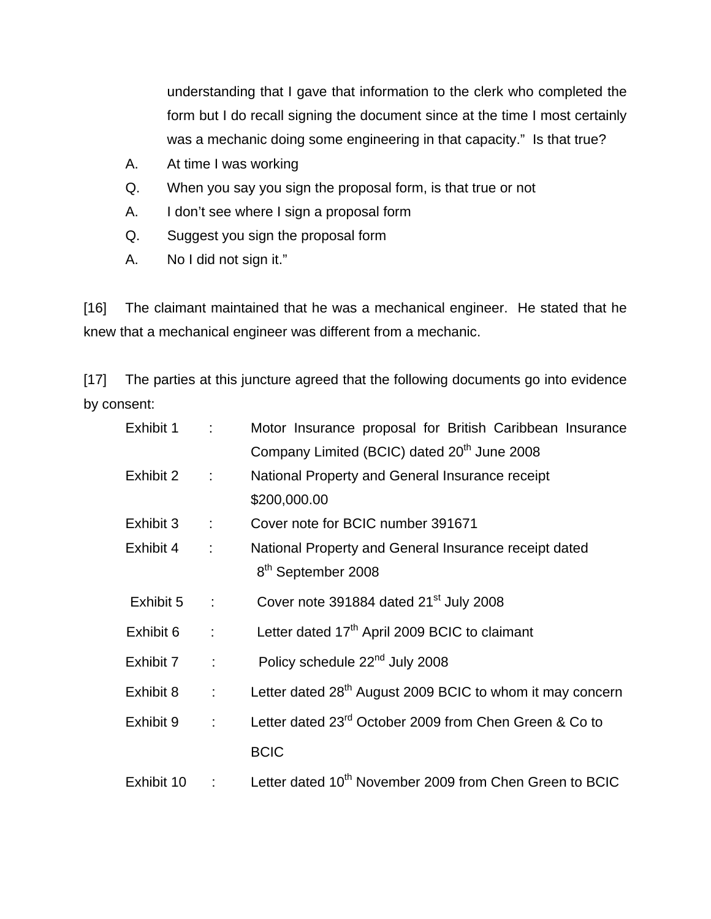understanding that I gave that information to the clerk who completed the form but I do recall signing the document since at the time I most certainly was a mechanic doing some engineering in that capacity." Is that true?

- A. At time I was working
- Q. When you say you sign the proposal form, is that true or not
- A. I don't see where I sign a proposal form
- Q. Suggest you sign the proposal form
- A. No I did not sign it."

[16] The claimant maintained that he was a mechanical engineer. He stated that he knew that a mechanical engineer was different from a mechanic.

[17] The parties at this juncture agreed that the following documents go into evidence by consent:

| Exhibit 1  | ÷                         | Motor Insurance proposal for British Caribbean Insurance              |
|------------|---------------------------|-----------------------------------------------------------------------|
|            |                           | Company Limited (BCIC) dated 20 <sup>th</sup> June 2008               |
| Exhibit 2  | $\mathbb{C}^2$            | National Property and General Insurance receipt                       |
|            |                           | \$200,000.00                                                          |
| Exhibit 3  | ÷                         | Cover note for BCIC number 391671                                     |
| Exhibit 4  | $\ddot{\phantom{a}}$      | National Property and General Insurance receipt dated                 |
|            |                           | 8 <sup>th</sup> September 2008                                        |
| Exhibit 5  | ÷                         | Cover note 391884 dated 21 <sup>st</sup> July 2008                    |
| Exhibit 6  | ÷                         | Letter dated 17 <sup>th</sup> April 2009 BCIC to claimant             |
| Exhibit 7  | t.                        | Policy schedule 22 <sup>nd</sup> July 2008                            |
| Exhibit 8  | $\mathbb{R}^{\mathbb{Z}}$ | Letter dated 28 <sup>th</sup> August 2009 BCIC to whom it may concern |
| Exhibit 9  | Đ.                        | Letter dated 23 <sup>rd</sup> October 2009 from Chen Green & Co to    |
|            |                           | <b>BCIC</b>                                                           |
| Exhibit 10 | ÷.                        | Letter dated 10 <sup>th</sup> November 2009 from Chen Green to BCIC   |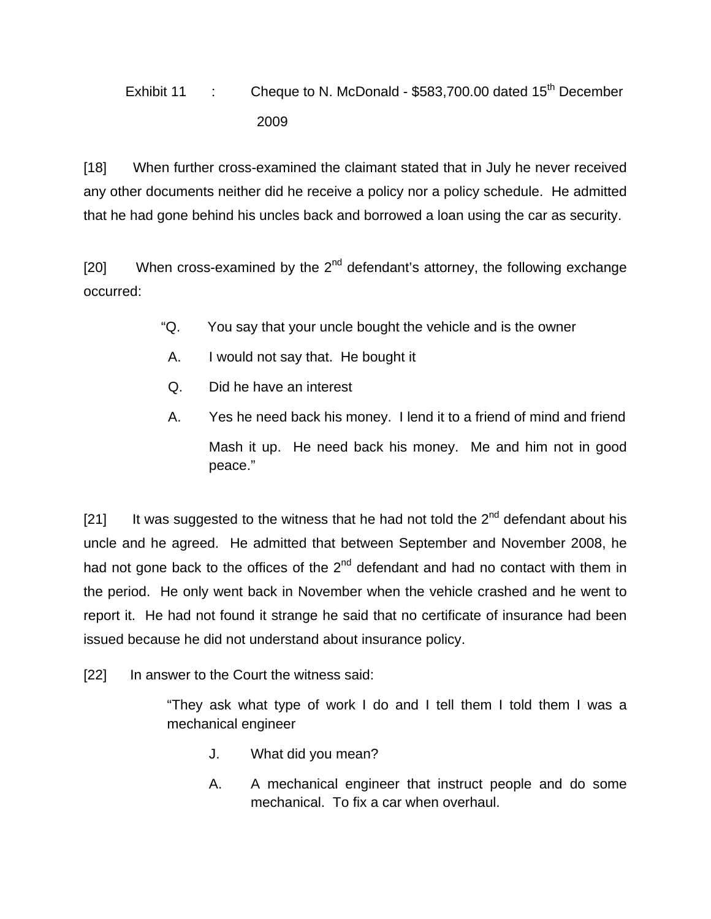Exhibit 11 : Cheque to N. McDonald - \$583,700.00 dated 15<sup>th</sup> December 2009

[18] When further cross-examined the claimant stated that in July he never received any other documents neither did he receive a policy nor a policy schedule. He admitted that he had gone behind his uncles back and borrowed a loan using the car as security.

[20] When cross-examined by the  $2^{nd}$  defendant's attorney, the following exchange occurred:

- "Q. You say that your uncle bought the vehicle and is the owner
- A. I would not say that. He bought it
- Q. Did he have an interest
- A. Yes he need back his money. I lend it to a friend of mind and friend Mash it up. He need back his money. Me and him not in good peace."

[21] It was suggested to the witness that he had not told the  $2^{nd}$  defendant about his uncle and he agreed. He admitted that between September and November 2008, he had not gone back to the offices of the  $2<sup>nd</sup>$  defendant and had no contact with them in the period. He only went back in November when the vehicle crashed and he went to report it. He had not found it strange he said that no certificate of insurance had been issued because he did not understand about insurance policy.

[22] In answer to the Court the witness said:

"They ask what type of work I do and I tell them I told them I was a mechanical engineer

- J. What did you mean?
- A. A mechanical engineer that instruct people and do some mechanical. To fix a car when overhaul.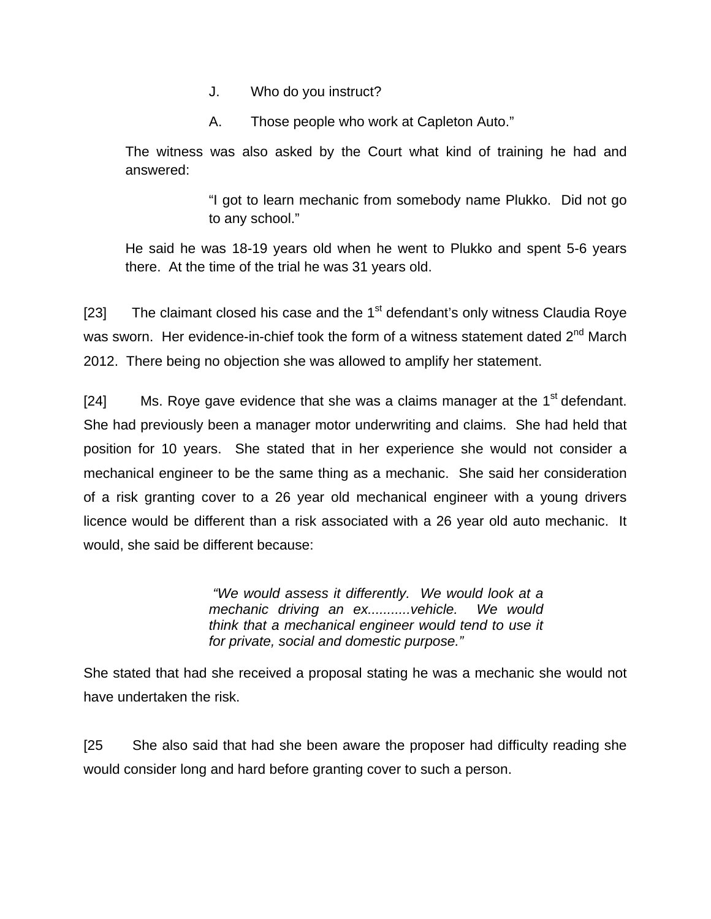- J. Who do you instruct?
- A. Those people who work at Capleton Auto."

The witness was also asked by the Court what kind of training he had and answered:

> "I got to learn mechanic from somebody name Plukko. Did not go to any school."

He said he was 18-19 years old when he went to Plukko and spent 5-6 years there. At the time of the trial he was 31 years old.

[23] The claimant closed his case and the  $1<sup>st</sup>$  defendant's only witness Claudia Roye was sworn. Her evidence-in-chief took the form of a witness statement dated 2<sup>nd</sup> March 2012. There being no objection she was allowed to amplify her statement.

[24] Ms. Roye gave evidence that she was a claims manager at the  $1<sup>st</sup>$  defendant. She had previously been a manager motor underwriting and claims. She had held that position for 10 years. She stated that in her experience she would not consider a mechanical engineer to be the same thing as a mechanic. She said her consideration of a risk granting cover to a 26 year old mechanical engineer with a young drivers licence would be different than a risk associated with a 26 year old auto mechanic. It would, she said be different because:

> *"We would assess it differently. We would look at a mechanic driving an ex...........vehicle. We would think that a mechanical engineer would tend to use it for private, social and domestic purpose."*

She stated that had she received a proposal stating he was a mechanic she would not have undertaken the risk.

[25 She also said that had she been aware the proposer had difficulty reading she would consider long and hard before granting cover to such a person.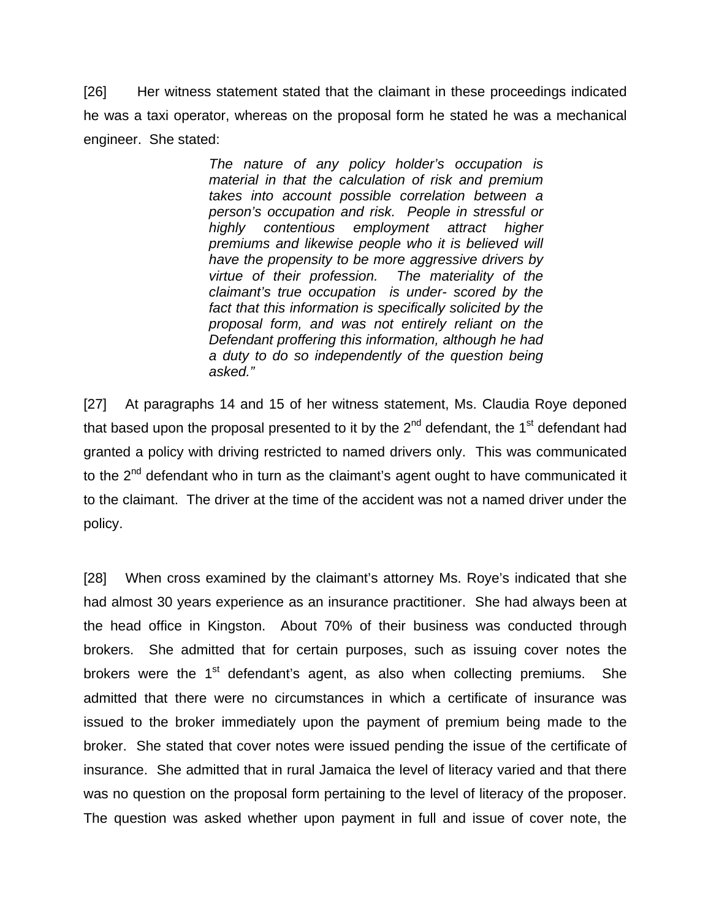[26] Her witness statement stated that the claimant in these proceedings indicated he was a taxi operator, whereas on the proposal form he stated he was a mechanical engineer. She stated:

> *The nature of any policy holder's occupation is material in that the calculation of risk and premium takes into account possible correlation between a person's occupation and risk. People in stressful or highly contentious employment attract higher premiums and likewise people who it is believed will have the propensity to be more aggressive drivers by virtue of their profession. The materiality of the claimant's true occupation is under- scored by the fact that this information is specifically solicited by the proposal form, and was not entirely reliant on the Defendant proffering this information, although he had a duty to do so independently of the question being asked."*

[27] At paragraphs 14 and 15 of her witness statement, Ms. Claudia Roye deponed that based upon the proposal presented to it by the  $2^{nd}$  defendant, the 1<sup>st</sup> defendant had granted a policy with driving restricted to named drivers only. This was communicated to the  $2<sup>nd</sup>$  defendant who in turn as the claimant's agent ought to have communicated it to the claimant. The driver at the time of the accident was not a named driver under the policy.

[28] When cross examined by the claimant's attorney Ms. Roye's indicated that she had almost 30 years experience as an insurance practitioner. She had always been at the head office in Kingston. About 70% of their business was conducted through brokers. She admitted that for certain purposes, such as issuing cover notes the brokers were the  $1<sup>st</sup>$  defendant's agent, as also when collecting premiums. She admitted that there were no circumstances in which a certificate of insurance was issued to the broker immediately upon the payment of premium being made to the broker. She stated that cover notes were issued pending the issue of the certificate of insurance. She admitted that in rural Jamaica the level of literacy varied and that there was no question on the proposal form pertaining to the level of literacy of the proposer. The question was asked whether upon payment in full and issue of cover note, the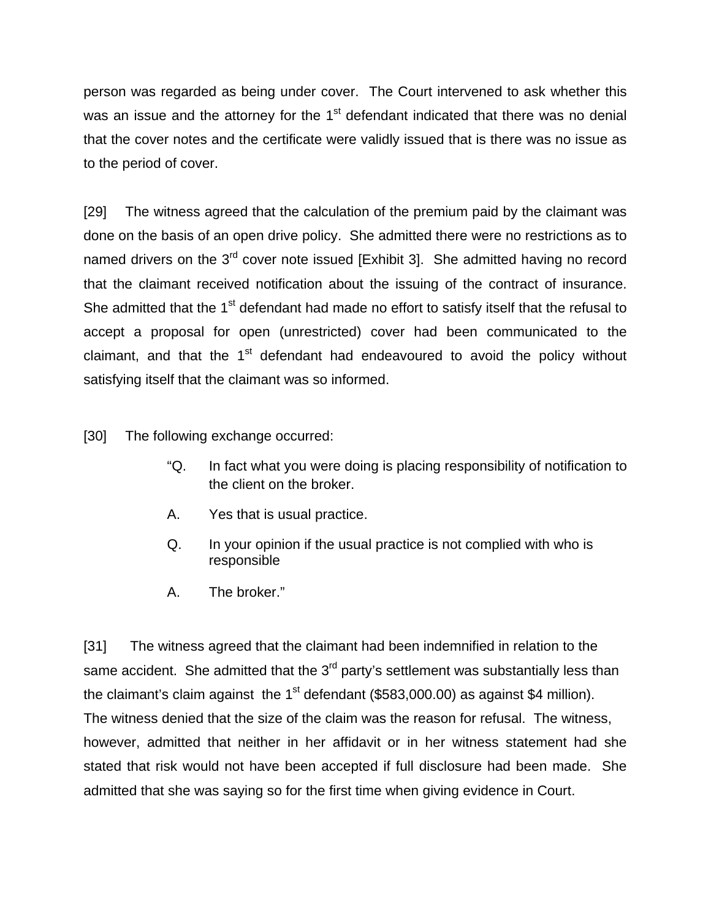person was regarded as being under cover. The Court intervened to ask whether this was an issue and the attorney for the 1<sup>st</sup> defendant indicated that there was no denial that the cover notes and the certificate were validly issued that is there was no issue as to the period of cover.

[29] The witness agreed that the calculation of the premium paid by the claimant was done on the basis of an open drive policy. She admitted there were no restrictions as to named drivers on the 3<sup>rd</sup> cover note issued [Exhibit 3]. She admitted having no record that the claimant received notification about the issuing of the contract of insurance. She admitted that the 1<sup>st</sup> defendant had made no effort to satisfy itself that the refusal to accept a proposal for open (unrestricted) cover had been communicated to the claimant, and that the  $1<sup>st</sup>$  defendant had endeavoured to avoid the policy without satisfying itself that the claimant was so informed.

[30] The following exchange occurred:

- "Q. In fact what you were doing is placing responsibility of notification to the client on the broker.
- A. Yes that is usual practice.
- Q. In your opinion if the usual practice is not complied with who is responsible
- A. The broker."

[31] The witness agreed that the claimant had been indemnified in relation to the same accident. She admitted that the  $3<sup>rd</sup>$  party's settlement was substantially less than the claimant's claim against the  $1<sup>st</sup>$  defendant (\$583,000.00) as against \$4 million). The witness denied that the size of the claim was the reason for refusal. The witness, however, admitted that neither in her affidavit or in her witness statement had she stated that risk would not have been accepted if full disclosure had been made. She admitted that she was saying so for the first time when giving evidence in Court.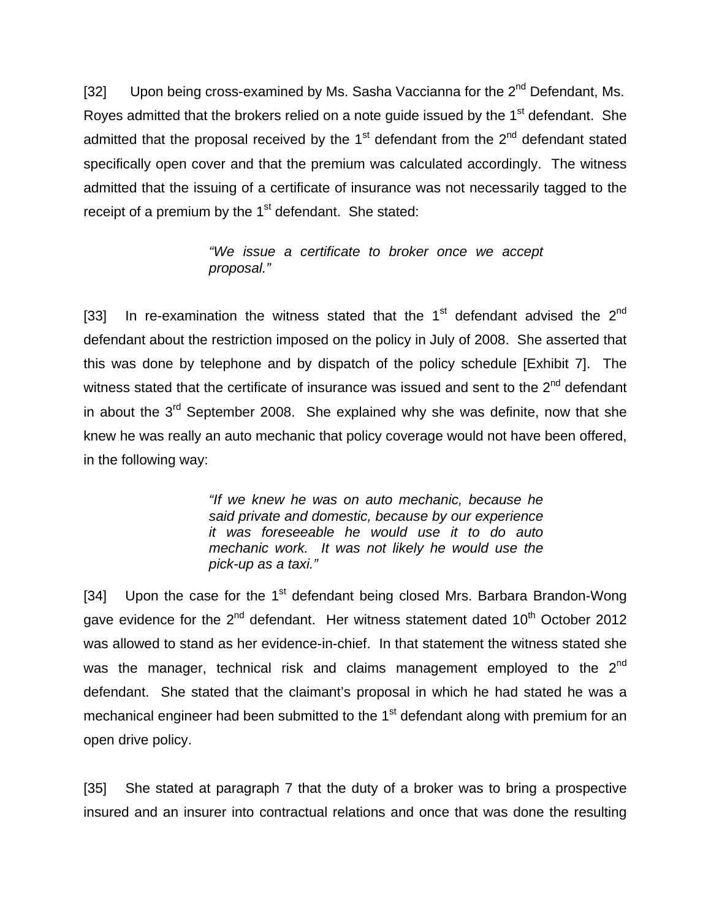[32] Upon being cross-examined by Ms. Sasha Vaccianna for the  $2^{nd}$  Defendant, Ms. Royes admitted that the brokers relied on a note quide issued by the 1<sup>st</sup> defendant. She admitted that the proposal received by the  $1<sup>st</sup>$  defendant from the  $2<sup>nd</sup>$  defendant stated specifically open cover and that the premium was calculated accordingly. The witness admitted that the issuing of a certificate of insurance was not necessarily tagged to the receipt of a premium by the  $1<sup>st</sup>$  defendant. She stated:

> *"We issue a certificate to broker once we accept proposal."*

[33] In re-examination the witness stated that the  $1<sup>st</sup>$  defendant advised the  $2<sup>nd</sup>$ defendant about the restriction imposed on the policy in July of 2008. She asserted that this was done by telephone and by dispatch of the policy schedule [Exhibit 7]. The witness stated that the certificate of insurance was issued and sent to the  $2<sup>nd</sup>$  defendant in about the  $3<sup>rd</sup>$  September 2008. She explained why she was definite, now that she knew he was really an auto mechanic that policy coverage would not have been offered, in the following way:

> *"If we knew he was on auto mechanic, because he said private and domestic, because by our experience it was foreseeable he would use it to do auto mechanic work. It was not likely he would use the pick-up as a taxi."*

[34] Upon the case for the  $1<sup>st</sup>$  defendant being closed Mrs. Barbara Brandon-Wong gave evidence for the  $2^{nd}$  defendant. Her witness statement dated 10<sup>th</sup> October 2012 was allowed to stand as her evidence-in-chief. In that statement the witness stated she was the manager, technical risk and claims management employed to the 2<sup>nd</sup> defendant. She stated that the claimant's proposal in which he had stated he was a mechanical engineer had been submitted to the  $1<sup>st</sup>$  defendant along with premium for an open drive policy.

[35] She stated at paragraph 7 that the duty of a broker was to bring a prospective insured and an insurer into contractual relations and once that was done the resulting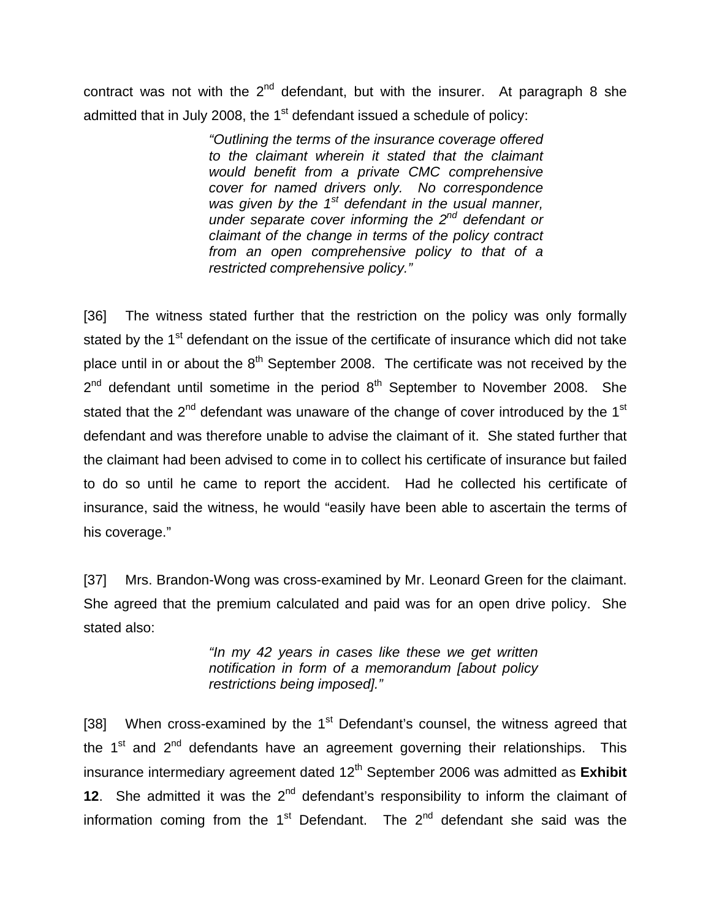contract was not with the  $2<sup>nd</sup>$  defendant, but with the insurer. At paragraph 8 she admitted that in July 2008, the  $1<sup>st</sup>$  defendant issued a schedule of policy:

> *"Outlining the terms of the insurance coverage offered to the claimant wherein it stated that the claimant would benefit from a private CMC comprehensive cover for named drivers only. No correspondence was given by the 1st defendant in the usual manner, under separate cover informing the 2nd defendant or claimant of the change in terms of the policy contract from an open comprehensive policy to that of a restricted comprehensive policy."*

[36] The witness stated further that the restriction on the policy was only formally stated by the 1<sup>st</sup> defendant on the issue of the certificate of insurance which did not take place until in or about the  $8<sup>th</sup>$  September 2008. The certificate was not received by the  $2^{nd}$  defendant until sometime in the period  $8^{th}$  September to November 2008. She stated that the  $2^{nd}$  defendant was unaware of the change of cover introduced by the 1<sup>st</sup> defendant and was therefore unable to advise the claimant of it. She stated further that the claimant had been advised to come in to collect his certificate of insurance but failed to do so until he came to report the accident. Had he collected his certificate of insurance, said the witness, he would "easily have been able to ascertain the terms of his coverage."

[37] Mrs. Brandon-Wong was cross-examined by Mr. Leonard Green for the claimant. She agreed that the premium calculated and paid was for an open drive policy. She stated also:

> *"In my 42 years in cases like these we get written notification in form of a memorandum [about policy restrictions being imposed]."*

[38] When cross-examined by the  $1<sup>st</sup>$  Defendant's counsel, the witness agreed that the  $1<sup>st</sup>$  and  $2<sup>nd</sup>$  defendants have an agreement governing their relationships. This insurance intermediary agreement dated 12<sup>th</sup> September 2006 was admitted as **Exhibit 12.** She admitted it was the  $2^{nd}$  defendant's responsibility to inform the claimant of information coming from the  $1<sup>st</sup>$  Defendant. The  $2<sup>nd</sup>$  defendant she said was the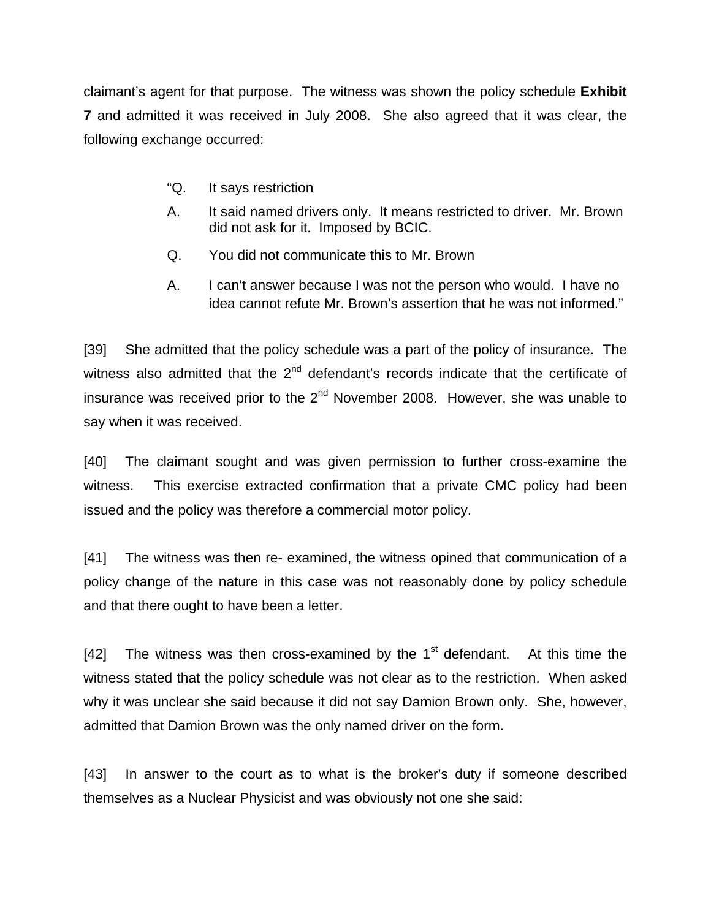claimant's agent for that purpose. The witness was shown the policy schedule **Exhibit 7** and admitted it was received in July 2008. She also agreed that it was clear, the following exchange occurred:

- "Q. It says restriction
- A. It said named drivers only. It means restricted to driver. Mr. Brown did not ask for it. Imposed by BCIC.
- Q. You did not communicate this to Mr. Brown
- A. I can't answer because I was not the person who would. I have no idea cannot refute Mr. Brown's assertion that he was not informed."

[39] She admitted that the policy schedule was a part of the policy of insurance. The witness also admitted that the  $2<sup>nd</sup>$  defendant's records indicate that the certificate of insurance was received prior to the  $2^{nd}$  November 2008. However, she was unable to say when it was received.

[40] The claimant sought and was given permission to further cross-examine the witness. This exercise extracted confirmation that a private CMC policy had been issued and the policy was therefore a commercial motor policy.

[41] The witness was then re- examined, the witness opined that communication of a policy change of the nature in this case was not reasonably done by policy schedule and that there ought to have been a letter.

[42] The witness was then cross-examined by the  $1<sup>st</sup>$  defendant. At this time the witness stated that the policy schedule was not clear as to the restriction. When asked why it was unclear she said because it did not say Damion Brown only. She, however, admitted that Damion Brown was the only named driver on the form.

[43] In answer to the court as to what is the broker's duty if someone described themselves as a Nuclear Physicist and was obviously not one she said: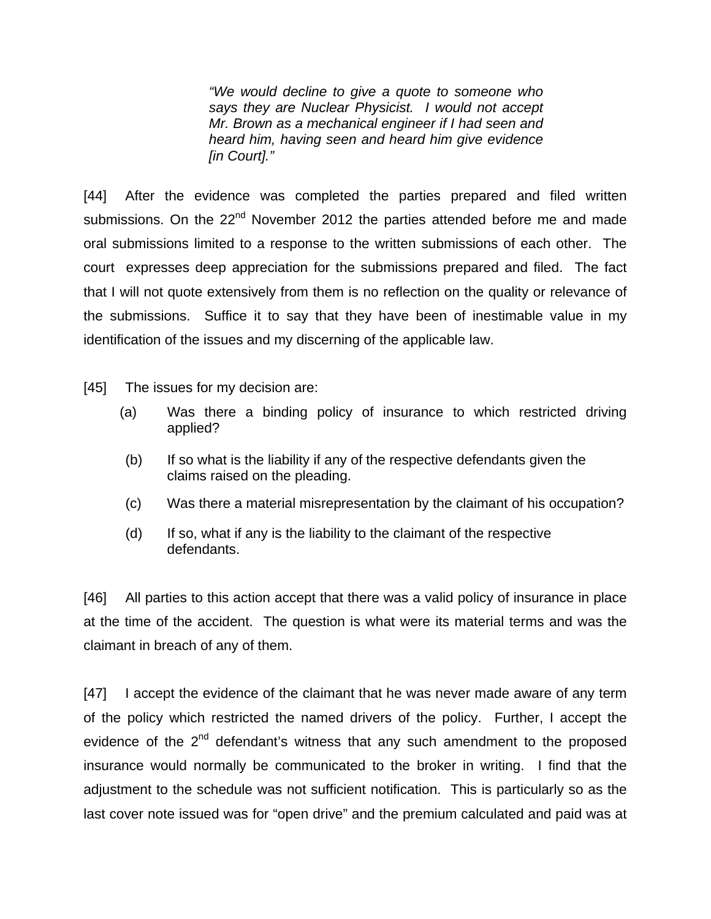*"We would decline to give a quote to someone who says they are Nuclear Physicist. I would not accept Mr. Brown as a mechanical engineer if I had seen and heard him, having seen and heard him give evidence [in Court]."* 

[44] After the evidence was completed the parties prepared and filed written submissions. On the  $22<sup>nd</sup>$  November 2012 the parties attended before me and made oral submissions limited to a response to the written submissions of each other. The court expresses deep appreciation for the submissions prepared and filed. The fact that I will not quote extensively from them is no reflection on the quality or relevance of the submissions. Suffice it to say that they have been of inestimable value in my identification of the issues and my discerning of the applicable law.

- [45] The issues for my decision are:
	- (a) Was there a binding policy of insurance to which restricted driving applied?
	- (b) If so what is the liability if any of the respective defendants given the claims raised on the pleading.
	- (c) Was there a material misrepresentation by the claimant of his occupation?
	- (d) If so, what if any is the liability to the claimant of the respective defendants.

[46] All parties to this action accept that there was a valid policy of insurance in place at the time of the accident. The question is what were its material terms and was the claimant in breach of any of them.

[47] I accept the evidence of the claimant that he was never made aware of any term of the policy which restricted the named drivers of the policy. Further, I accept the evidence of the  $2<sup>nd</sup>$  defendant's witness that any such amendment to the proposed insurance would normally be communicated to the broker in writing. I find that the adjustment to the schedule was not sufficient notification. This is particularly so as the last cover note issued was for "open drive" and the premium calculated and paid was at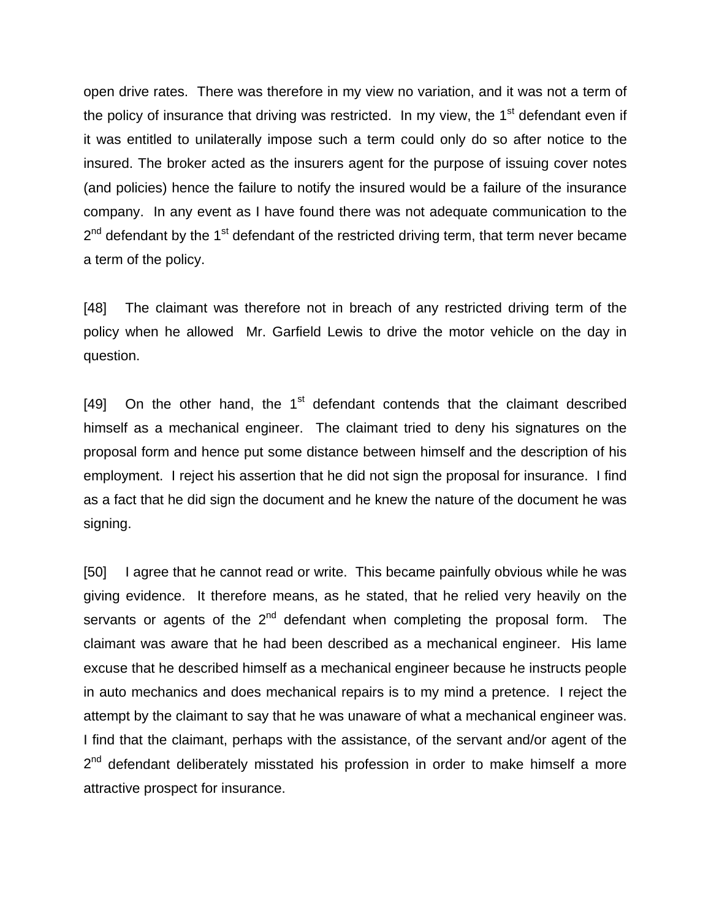open drive rates. There was therefore in my view no variation, and it was not a term of the policy of insurance that driving was restricted. In my view, the  $1<sup>st</sup>$  defendant even if it was entitled to unilaterally impose such a term could only do so after notice to the insured. The broker acted as the insurers agent for the purpose of issuing cover notes (and policies) hence the failure to notify the insured would be a failure of the insurance company. In any event as I have found there was not adequate communication to the  $2<sup>nd</sup>$  defendant by the 1<sup>st</sup> defendant of the restricted driving term, that term never became a term of the policy.

[48] The claimant was therefore not in breach of any restricted driving term of the policy when he allowed Mr. Garfield Lewis to drive the motor vehicle on the day in question.

[49] On the other hand, the  $1<sup>st</sup>$  defendant contends that the claimant described himself as a mechanical engineer. The claimant tried to deny his signatures on the proposal form and hence put some distance between himself and the description of his employment. I reject his assertion that he did not sign the proposal for insurance. I find as a fact that he did sign the document and he knew the nature of the document he was signing.

[50] I agree that he cannot read or write. This became painfully obvious while he was giving evidence. It therefore means, as he stated, that he relied very heavily on the servants or agents of the  $2^{nd}$  defendant when completing the proposal form. The claimant was aware that he had been described as a mechanical engineer. His lame excuse that he described himself as a mechanical engineer because he instructs people in auto mechanics and does mechanical repairs is to my mind a pretence. I reject the attempt by the claimant to say that he was unaware of what a mechanical engineer was. I find that the claimant, perhaps with the assistance, of the servant and/or agent of the  $2<sup>nd</sup>$  defendant deliberately misstated his profession in order to make himself a more attractive prospect for insurance.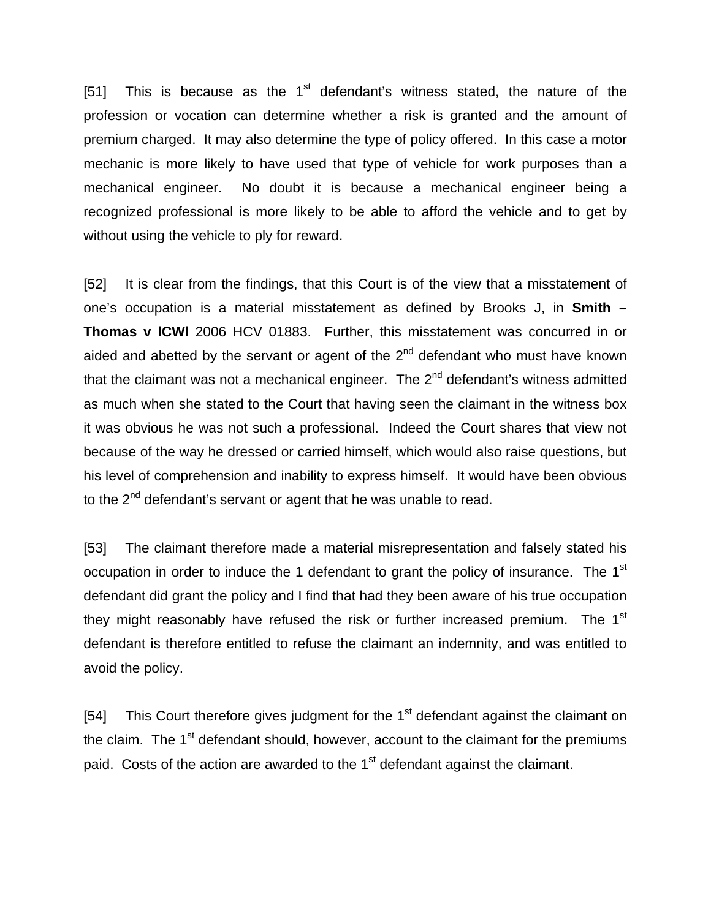[51] This is because as the  $1<sup>st</sup>$  defendant's witness stated, the nature of the profession or vocation can determine whether a risk is granted and the amount of premium charged. It may also determine the type of policy offered. In this case a motor mechanic is more likely to have used that type of vehicle for work purposes than a mechanical engineer. No doubt it is because a mechanical engineer being a recognized professional is more likely to be able to afford the vehicle and to get by without using the vehicle to ply for reward.

[52] It is clear from the findings, that this Court is of the view that a misstatement of one's occupation is a material misstatement as defined by Brooks J, in **Smith – Thomas v lCWl** 2006 HCV 01883. Further, this misstatement was concurred in or aided and abetted by the servant or agent of the  $2<sup>nd</sup>$  defendant who must have known that the claimant was not a mechanical engineer. The  $2^{nd}$  defendant's witness admitted as much when she stated to the Court that having seen the claimant in the witness box it was obvious he was not such a professional. Indeed the Court shares that view not because of the way he dressed or carried himself, which would also raise questions, but his level of comprehension and inability to express himself. It would have been obvious to the 2<sup>nd</sup> defendant's servant or agent that he was unable to read.

[53] The claimant therefore made a material misrepresentation and falsely stated his occupation in order to induce the 1 defendant to grant the policy of insurance. The 1<sup>st</sup> defendant did grant the policy and I find that had they been aware of his true occupation they might reasonably have refused the risk or further increased premium. The 1<sup>st</sup> defendant is therefore entitled to refuse the claimant an indemnity, and was entitled to avoid the policy.

[54] This Court therefore gives judgment for the  $1<sup>st</sup>$  defendant against the claimant on the claim. The  $1<sup>st</sup>$  defendant should, however, account to the claimant for the premiums paid. Costs of the action are awarded to the  $1<sup>st</sup>$  defendant against the claimant.